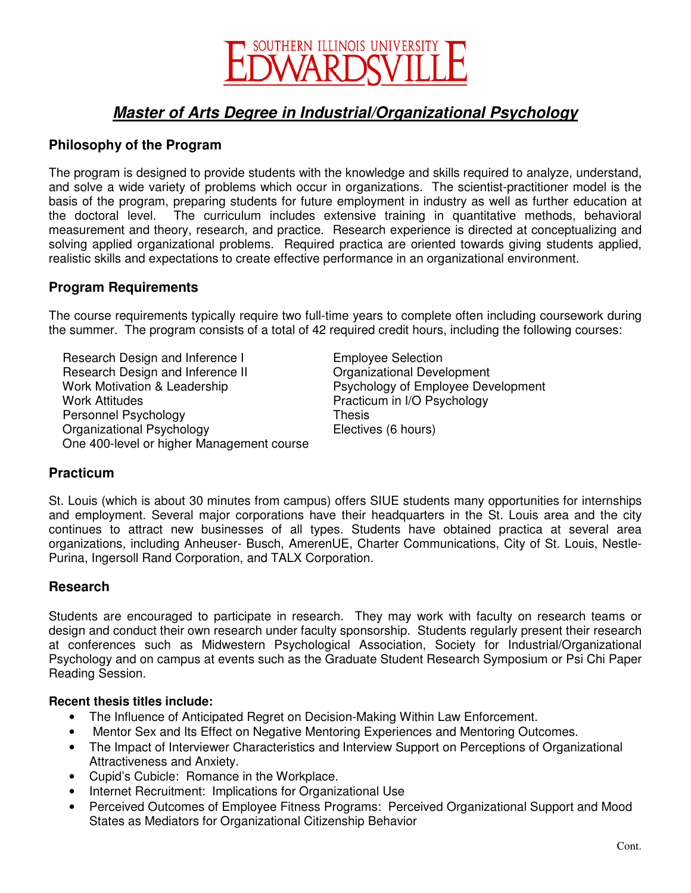

# **Master of Arts Degree in Industrial/Organizational Psychology**

## **Philosophy of the Program**

The program is designed to provide students with the knowledge and skills required to analyze, understand, and solve a wide variety of problems which occur in organizations. The scientist-practitioner model is the basis of the program, preparing students for future employment in industry as well as further education at the doctoral level. The curriculum includes extensive training in quantitative methods, behavioral measurement and theory, research, and practice. Research experience is directed at conceptualizing and solving applied organizational problems. Required practica are oriented towards giving students applied, realistic skills and expectations to create effective performance in an organizational environment.

#### **Program Requirements**

The course requirements typically require two full-time years to complete often including coursework during the summer. The program consists of a total of 42 required credit hours, including the following courses:

Research Design and Inference I Employee Selection Research Design and Inference II Crganizational Development Work Motivation & Leadership **Psychology of Employee Development** Work Attitudes **Practicum in I/O Psychology** Personnel Psychology Thesis Organizational Psychology Electives (6 hours) One 400-level or higher Management course

#### **Practicum**

St. Louis (which is about 30 minutes from campus) offers SIUE students many opportunities for internships and employment. Several major corporations have their headquarters in the St. Louis area and the city continues to attract new businesses of all types. Students have obtained practica at several area organizations, including Anheuser- Busch, AmerenUE, Charter Communications, City of St. Louis, Nestle-Purina, Ingersoll Rand Corporation, and TALX Corporation.

#### **Research**

Students are encouraged to participate in research. They may work with faculty on research teams or design and conduct their own research under faculty sponsorship. Students regularly present their research at conferences such as Midwestern Psychological Association, Society for Industrial/Organizational Psychology and on campus at events such as the Graduate Student Research Symposium or Psi Chi Paper Reading Session.

#### **Recent thesis titles include:**

- The Influence of Anticipated Regret on Decision-Making Within Law Enforcement.
- Mentor Sex and Its Effect on Negative Mentoring Experiences and Mentoring Outcomes.
- The Impact of Interviewer Characteristics and Interview Support on Perceptions of Organizational Attractiveness and Anxiety.
- Cupid's Cubicle: Romance in the Workplace.
- Internet Recruitment: Implications for Organizational Use
- Perceived Outcomes of Employee Fitness Programs: Perceived Organizational Support and Mood States as Mediators for Organizational Citizenship Behavior